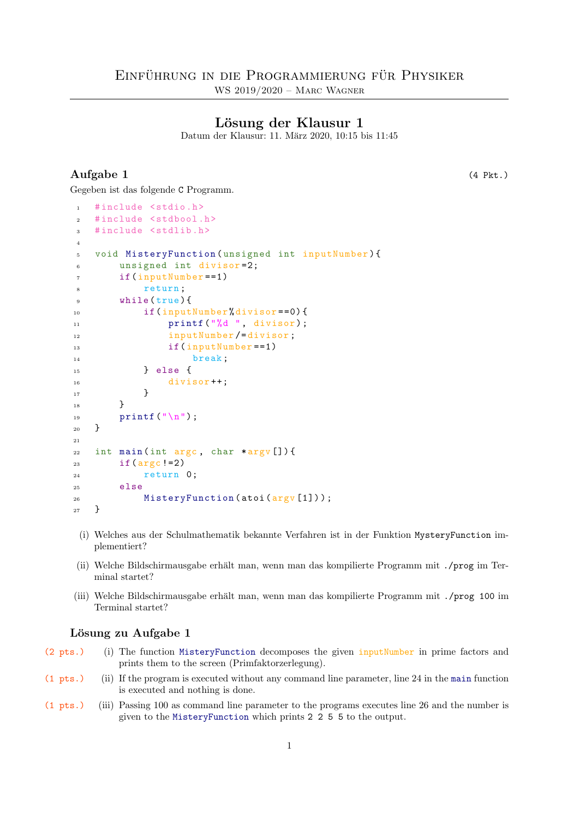# Lösung der Klausur 1

Datum der Klausur: 11. März 2020, 10:15 bis 11:45

# Aufgabe 1 (4 Pkt.)

Gegeben ist das folgende C Programm.

| $\mathbf{1}$   | #include <stdio.h></stdio.h>                      |
|----------------|---------------------------------------------------|
| $\overline{2}$ | #include <stdbool.h></stdbool.h>                  |
| 3              | #include <stdlib.h></stdlib.h>                    |
| $\overline{4}$ |                                                   |
| 5              | void MisteryFunction (unsigned int inputNumber) { |
| 6              | unsigned int divisor=2;                           |
| $\overline{7}$ | $if (inputNumber == 1)$                           |
| 8              | return:                                           |
| 9              | while $(true)$ {                                  |
| 10             | if(inputNumber%divisor==0){                       |
| 11             | printf ("%d ", divisor);                          |
| 12             | inputNumber/=divisor;                             |
| 13             | $if (inputNumber == 1)$                           |
| 14             | break;                                            |
| 15             | } else f                                          |
| 16             | $divisor++;$                                      |
| 17             | ł                                                 |
| 18             | ł                                                 |
| 19             | printf $(\sqrt[n]{n})$ ;                          |
| 20             | }                                                 |
| 21             |                                                   |
| 22             | int main(int argc, char *argv[]){                 |
| 23             | if $(\arg c  =2)$                                 |
| 24             | return 0;                                         |
| 25             | $e$ lse                                           |
| 26             | MisteryFunction(atoi(argv[1]));                   |
| 27             | }                                                 |

- (i) Welches aus der Schulmathematik bekannte Verfahren ist in der Funktion MysteryFunction implementiert?
- (ii) Welche Bildschirmausgabe erhält man, wenn man das kompilierte Programm mit ./prog im Terminal startet?
- (iii) Welche Bildschirmausgabe erhält man, wenn man das kompilierte Programm mit ./prog 100 im Terminal startet?

#### Lösung zu Aufgabe 1

- (2 pts.) (i) The function MisteryFunction decomposes the given inputNumber in prime factors and prints them to the screen (Primfaktorzerlegung).
- (1 pts.) (ii) If the program is executed without any command line parameter, line 24 in the main function is executed and nothing is done.
- (1 pts.) (iii) Passing 100 as command line parameter to the programs executes line 26 and the number is given to the MisteryFunction which prints 2 2 5 5 to the output.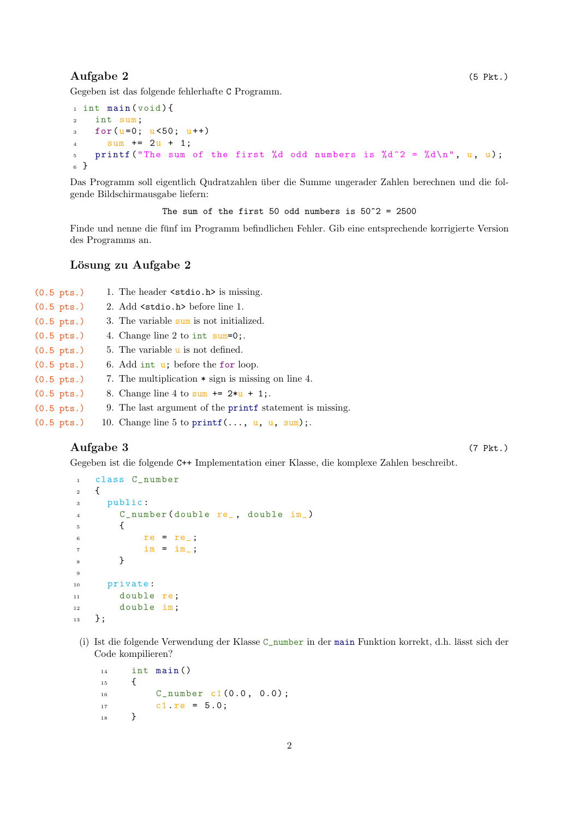# Aufgabe 2 (5 Pkt.)

Gegeben ist das folgende fehlerhafte C Programm.

```
1 int main (void) {
2 int sum;
3 for (u=0; u<50; u++)4 \quad \text{sum} + = 2u + 1;5 printf ("The sum of the first %d odd numbers is %d^2 = %d\n", u, u);
6 }
```
Das Programm soll eigentlich Qudratzahlen uber die Summe ungerader Zahlen berechnen und die fol- ¨ gende Bildschirmausgabe liefern:

The sum of the first 50 odd numbers is  $50^{\circ}2 = 2500$ 

Finde und nenne die fünf im Programm befindlichen Fehler. Gib eine entsprechende korrigierte Version des Programms an.

### Lösung zu Aufgabe 2

| $(0.5 \text{ pts.})$ | 1. The header <stdio.h> is missing.</stdio.h>            |
|----------------------|----------------------------------------------------------|
| $(0.5 \text{ pts.})$ | 2. Add <stdio.h> before line 1.</stdio.h>                |
| $(0.5 \text{ pts.})$ | 3. The variable sum is not initialized.                  |
| $(0.5 \text{ pts.})$ | 4. Change line 2 to int $sum=0$ ;                        |
| $(0.5 \text{ pts.})$ | 5. The variable <b>u</b> is not defined.                 |
| $(0.5 \text{ pts.})$ | 6. Add int $u$ ; before the for loop.                    |
| $(0.5 \text{ pts.})$ | 7. The multiplication $*$ sign is missing on line 4.     |
| $(0.5 \text{ pts.})$ | 8. Change line 4 to sum $+= 2*u + 1$ ;                   |
| $(0.5 \text{ pts.})$ | 9. The last argument of the printf statement is missing. |
|                      |                                                          |

 $(0.5 \text{ pts.})$  10. Change line 5 to printf(..., u, u, sum);.

### Aufgabe 3 (7 Pkt.)

Gegeben ist die folgende C++ Implementation einer Klasse, die komplexe Zahlen beschreibt.

```
1 class C_number
2 \{3 public :
4 C_number ( double re_ , double im_)
5 {
6 re = re;
7 \quad \text{im} = \text{im}.8 }
9
10 private :
11 double re;
12 double im;
13 };
```
(i) Ist die folgende Verwendung der Klasse C\_number in der main Funktion korrekt, d.h. l¨asst sich der Code kompilieren?

```
_{14} int main ()
15 {
16 C_number c1 (0.0, 0.0);
17 c1.re = 5.0;
18 }
```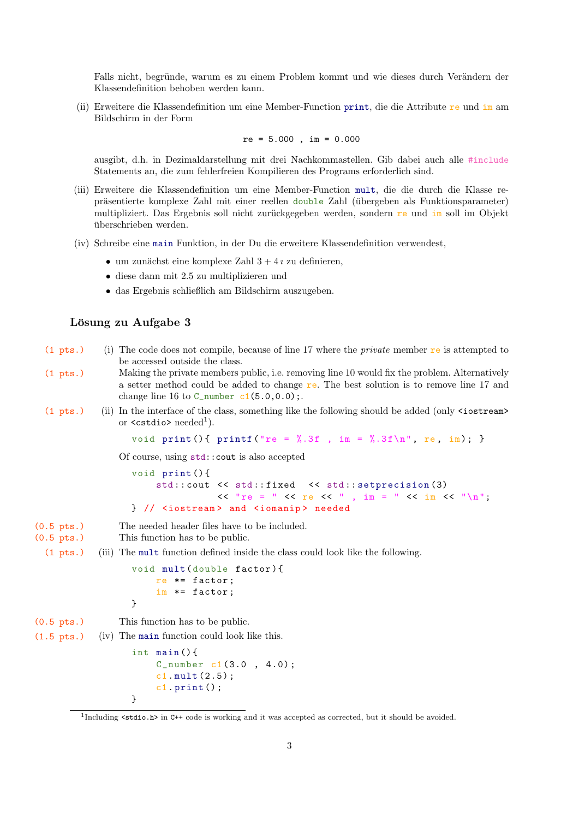Falls nicht, begründe, warum es zu einem Problem kommt und wie dieses durch Verändern der Klassendefinition behoben werden kann.

(ii) Erweitere die Klassendefinition um eine Member-Function print, die die Attribute re und im am Bildschirm in der Form

$$
re = 5.000
$$
,  $im = 0.000$ 

ausgibt, d.h. in Dezimaldarstellung mit drei Nachkommastellen. Gib dabei auch alle #include Statements an, die zum fehlerfreien Kompilieren des Programs erforderlich sind.

- (iii) Erweitere die Klassendefinition um eine Member-Function mult, die die durch die Klasse repräsentierte komplexe Zahl mit einer reellen double Zahl (übergeben als Funktionsparameter) multipliziert. Das Ergebnis soll nicht zurückgegeben werden, sondern  $re$  und  $im$  soll im Objekt überschrieben werden.
- (iv) Schreibe eine main Funktion, in der Du die erweitere Klassendefinition verwendest,
	- um zunächst eine komplexe Zahl  $3 + 4i$  zu definieren,
	- diese dann mit 2.5 zu multiplizieren und
	- das Ergebnis schließlich am Bildschirm auszugeben.

#### Lösung zu Aufgabe 3

- (1 pts.) (i) The code does not compile, because of line 17 where the private member re is attempted to be accessed outside the class.
- (1 pts.) Making the private members public, i.e. removing line 10 would fix the problem. Alternatively a setter method could be added to change re. The best solution is to remove line 17 and change line 16 to  $C_$ number  $c1(5.0, 0.0)$ ;.
- (1 pts.) (ii) In the interface of the class, something like the following should be added (only <iostream> or  $\leq$ cstdio> needed<sup>1</sup>).

```
void print () { print f ("re = \frac{9}{2}.3f , im = \frac{9}{2}.3f \n", re, im); }
```
Of course, using std::cout is also accepted

```
void print () {
    std:: cout << std:: fixed << std:: setprecision (3)
               << "re = " << re << ", im = " << im << "\n";
} // <iostream > and <iomanip > needed
```
- (0.5 pts.) The needed header files have to be included.
- (0.5 pts.) This function has to be public.
- (1 pts.) (iii) The mult function defined inside the class could look like the following.

```
void mult ( double factor ) {
    re *= factor ;
    im *= factor ;
}
```
(0.5 pts.) This function has to be public.

(1.5 pts.) (iv) The main function could look like this.

```
int main () {
    C_number c1 (3.0 , 4.0) ;
    c1. mult (2.5) ;
    c1. print();
}
```
<sup>1</sup> Including <stdio.h> in C++ code is working and it was accepted as corrected, but it should be avoided.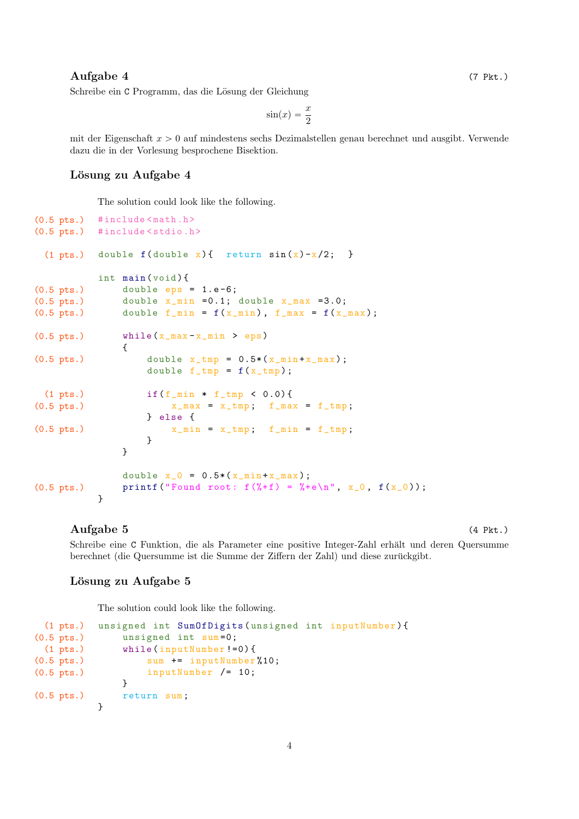#### $\text{Augabe } 4$  (7 Pkt.)

Schreibe ein C Programm, das die Lösung der Gleichung

$$
\sin(x) = \frac{x}{2}
$$

mit der Eigenschaft  $x > 0$  auf mindestens sechs Dezimalstellen genau berechnet und ausgibt. Verwende dazu die in der Vorlesung besprochene Bisektion.

# Lösung zu Aufgabe 4

The solution could look like the following.

```
(0.5 pts.) #include \text{5} ath.h>
(0.5 pts.) #include < stdio.h>
 (1 pts.) double f(double x) { return sin(x)-x/2; }
            int main (void) {
(0.5 \text{ pts.}) double eps = 1.e-6;(0.5 \text{ pts.}) double x\_min =0.1; double x\_max =3.0;
(0.5 \text{ pts.}) double f_min = f(x_min), f_max = f(x_max);
(0.5 \text{ pts.}) while (x_{\text{max}} - x_{\text{min}} > eps){
(0.5 \text{ pts.}) double x_{\text{tmp}} = 0.5*(x_{\text{min}+x_{\text{max}})};
                      double f_{\text{tmp}} = f(x_{\text{tmp}});
 (1 pts.) if(f\_min * f\_tmp < 0.0) {
(0.5 \text{ pts.}) x\_max = x\_tmp; f\_max = f\_tmp;} else {
(0.5 \text{ pts.}) x\_min = x\_tmp; f\_min = f\_tmp;}
                 }
                 double x_0 = 0.5*(x_{min}+x_{max});
(0.5 pts.) printf ("Found root: f(\frac{9}{6} + f) = \frac{9}{6} + e \ln^n, x_0, f(x_0));
            }
```
#### Aufgabe 5 (4 Pkt.)

Schreibe eine C Funktion, die als Parameter eine positive Integer-Zahl erhält und deren Quersumme berechnet (die Quersumme ist die Summe der Ziffern der Zahl) und diese zurückgibt.

#### Lösung zu Aufgabe 5

The solution could look like the following.

```
(1 pts.) unsigned int SumOfDigits ( unsigned int inputNumber ) {
(0.5 pts.) unsigned int sum =0;
 (1 pts.) while ( inputNumber !=0) {
(0.5 pts.) sum += inputNumber %10;
(0.5 pts.) inputNumber /= 10;
             }
(0.5 pts.) return sum ;
         }
```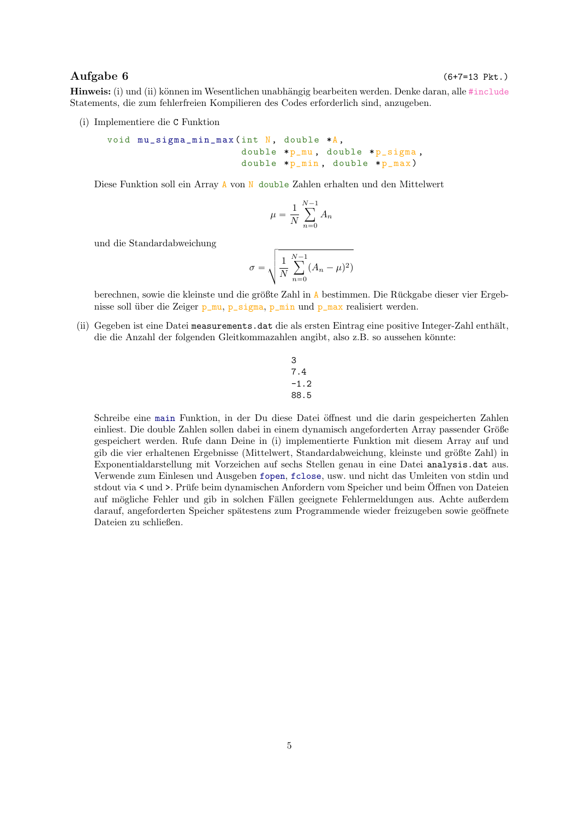### $\text{Augabe 6}$  (6+7=13 Pkt.)

Hinweis: (i) und (ii) können im Wesentlichen unabhängig bearbeiten werden. Denke daran, alle #include Statements, die zum fehlerfreien Kompilieren des Codes erforderlich sind, anzugeben.

(i) Implementiere die C Funktion

```
void mu_sigma_min_max (int N, double *A,
                       double *p_mu, double *p_sigma,
                       double *p_{min}, double *p_{max})
```
Diese Funktion soll ein Array A von N double Zahlen erhalten und den Mittelwert

$$
\mu = \frac{1}{N} \sum_{n=0}^{N-1} A_n
$$

und die Standardabweichung

$$
\sigma = \sqrt{\frac{1}{N} \sum_{n=0}^{N-1} (A_n - \mu)^2)}
$$

berechnen, sowie die kleinste und die größte Zahl in A bestimmen. Die Rückgabe dieser vier Ergebnisse soll über die Zeiger p\_mu, p\_sigma, p\_min und p\_max realisiert werden.

(ii) Gegeben ist eine Datei measurements.dat die als ersten Eintrag eine positive Integer-Zahl enthält, die die Anzahl der folgenden Gleitkommazahlen angibt, also z.B. so aussehen könnte:

$$
\begin{array}{c} 3 \\ 7.4 \\ -1.2 \\ 88.5 \end{array}
$$

Schreibe eine main Funktion, in der Du diese Datei öffnest und die darin gespeicherten Zahlen einliest. Die double Zahlen sollen dabei in einem dynamisch angeforderten Array passender Größe gespeichert werden. Rufe dann Deine in (i) implementierte Funktion mit diesem Array auf und gib die vier erhaltenen Ergebnisse (Mittelwert, Standardabweichung, kleinste und größte Zahl) in Exponentialdarstellung mit Vorzeichen auf sechs Stellen genau in eine Datei analysis.dat aus. Verwende zum Einlesen und Ausgeben fopen, fclose, usw. und nicht das Umleiten von stdin und stdout via < und >. Prüfe beim dynamischen Anfordern vom Speicher und beim Öffnen von Dateien auf mögliche Fehler und gib in solchen Fällen geeignete Fehlermeldungen aus. Achte außerdem darauf, angeforderten Speicher spätestens zum Programmende wieder freizugeben sowie geöffnete Dateien zu schließen.